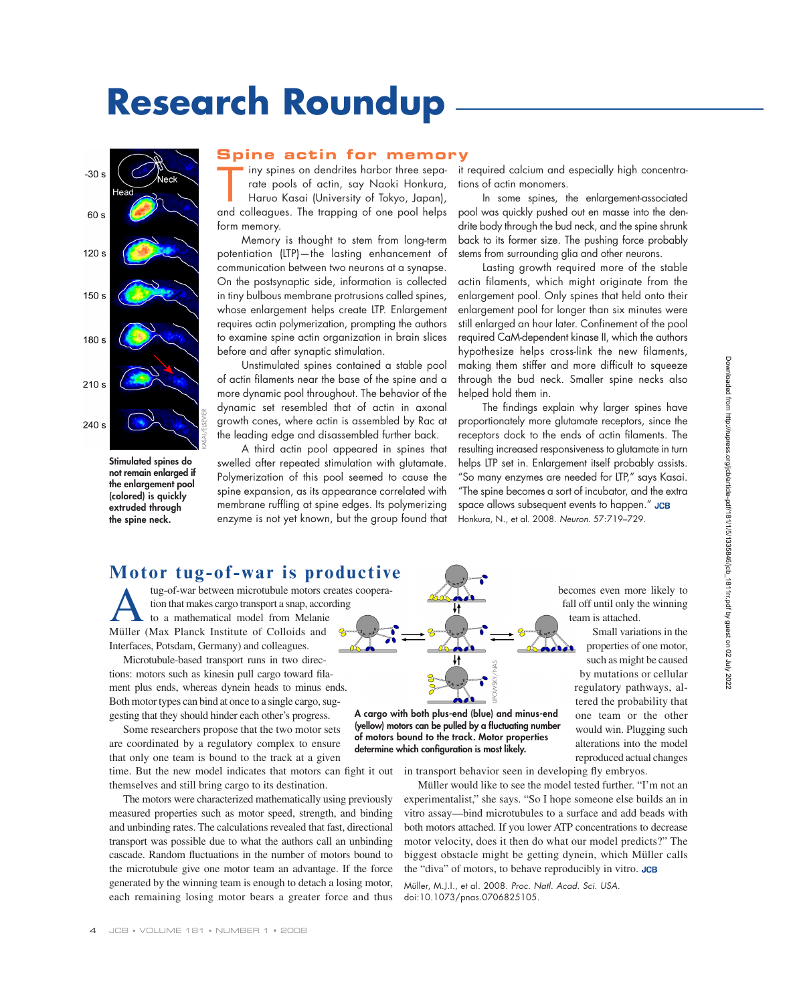# **Research Roundup**



**Stimulated spines do not remain enlarged if the enlargement pool (colored) is quickly extruded through the spine neck.**

#### **Spine actin for memory**

Iny spines on dendrites harbor three sepa-<br>Trade pools of actin, say Naoki Honkura,<br>Haruo Kasai (University of Tokyo, Japan),<br>And selleggues. The transition of one need helps rate pools of actin, say Naoki Honkura, Haruo Kasai (University of Tokyo, Japan), and colleagues. The trapping of one pool helps form memory.

Memory is thought to stem from long-term potentiation (LTP)—the lasting enhancement of communication between two neurons at a synapse. On the postsynaptic side, information is collected in tiny bulbous membrane protrusions called spines, whose enlargement helps create LTP. Enlargement requires actin polymerization, prompting the authors to examine spine actin organization in brain slices before and after synaptic stimulation.

Unstimulated spines contained a stable pool of actin filaments near the base of the spine and a more dynamic pool throughout. The behavior of the dynamic set resembled that of actin in axonal growth cones, where actin is assembled by Rac at the leading edge and disassembled further back.

A third actin pool appeared in spines that swelled after repeated stimulation with glutamate. Polymerization of this pool seemed to cause the spine expansion, as its appearance correlated with membrane ruffling at spine edges. Its polymerizing enzyme is not yet known, but the group found that it required calcium and especially high concentrations of actin monomers.

In some spines, the enlargement-associated pool was quickly pushed out en masse into the dendrite body through the bud neck, and the spine shrunk back to its former size. The pushing force probably stems from surrounding glia and other neurons.

Lasting growth required more of the stable actin filaments, which might originate from the enlargement pool. Only spines that held onto their enlargement pool for longer than six minutes were still enlarged an hour later. Confinement of the pool required CaM-dependent kinase II, which the authors hypothesize helps cross-link the new filaments, making them stiffer and more difficult to squeeze through the bud neck. Smaller spine necks also helped hold them in.

The findings explain why larger spines have proportionately more glutamate receptors, since the receptors dock to the ends of actin filaments. The resulting increased responsiveness to glutamate in turn helps LTP set in. Enlargement itself probably assists. "So many enzymes are needed for LTP," says Kasai. "The spine becomes a sort of incubator, and the extra space allows subsequent events to happen." JCB Honkura, N., et al. 2008. Neuron. 57:719–729.

### **Motor tug-of-war is productive**

tug-of-war between microtubule motors creates coopera-<br>tion that makes cargo transport a snap, according<br>to a mathematical model from Melanie<br>Müller (Max Planck Institute of Colloids and tion that makes cargo transport a snap, according to a mathematical model from Melanie Müller (Max Planck Institute of Colloids and Interfaces, Potsdam, Germany) and colleagues.

Microtubule-based transport runs in two directions: motors such as kinesin pull cargo toward filament plus ends, whereas dynein heads to minus ends. Both motor types can bind at once to a single cargo, suggesting that they should hinder each other's progress.

Some researchers propose that the two motor sets are coordinated by a regulatory complex to ensure that only one team is bound to the track at a given time. But the new model indicates that motors can fight it out themselves and still bring cargo to its destination.

The motors were characterized mathematically using previously measured properties such as motor speed, strength, and binding and unbinding rates. The calculations revealed that fast, directional transport was possible due to what the authors call an unbinding cascade. Random fluctuations in the number of motors bound to the microtubule give one motor team an advantage. If the force generated by the winning team is enough to detach a losing motor, each remaining losing motor bears a greater force and thus becomes even more likely to fall off until only the winning team is attached.

Small variations in the properties of one motor, such as might be caused by mutations or cellular regulatory pathways, altered the probability that one team or the other would win. Plugging such alterations into the model reproduced actual changes

**A cargo with both plus-end (blue) and minus-end (yellow) motors can be pulled by a fl uctuating number of motors bound to the track. Motor properties determine which configuration is most likely.**<br> **determine which plus-end (blue) and min**<br> **determine which configuration is most likely.** 

in transport behavior seen in developing fly embryos.

Müller would like to see the model tested further. "I'm not an experimentalist," she says. "So I hope someone else builds an in vitro assay—bind microtubules to a surface and add beads with both motors attached. If you lower ATP concentrations to decrease motor velocity, does it then do what our model predicts?" The biggest obstacle might be getting dynein, which Müller calls the "diva" of motors, to behave reproducibly in vitro. JCB

Müller, M.J.I., et al. 2008. Proc. Natl. Acad. Sci. USA. doi:10.1073/pnas.0706825105.